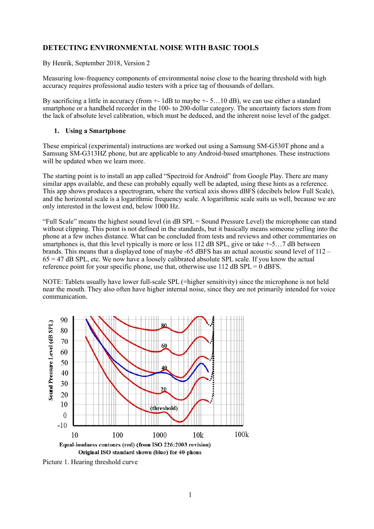# **DETECTING ENVIRONMENTAL NOISE WITH BASIC TOOLS**

By Henrik, September 2018, Version 2

Measuring low-frequency components of environmental noise close to the hearing threshold with high accuracy requires professional audio testers with a price tag of thousands of dollars.

By sacrificing a little in accuracy (from  $+$ -1dB to maybe  $+$ -5...10 dB), we can use either a standard smartphone or a handheld recorder in the 100- to 200-dollar category. The uncertainty factors stem from the lack of absolute level calibration, which must be deduced, and the inherent noise level of the gadget.

### **1. Using a Smartphone**

These empirical (experimental) instructions are worked out using a Samsung SM-G530T phone and a Samsung SM-G313HZ phone, but are applicable to any Android-based smartphones. These instructions will be updated when we learn more.

The starting point is to install an app called "Spectroid for Android" from Google Play. There are many similar apps available, and these can probably equally well be adapted, using these hints as a reference. This app shows produces a spectrogram, where the vertical axis shows dBFS (decibels below Full Scale), and the horizontal scale is a logarithmic frequency scale. A logarithmic scale suits us well, because we are only interested in the lowest end, below 1000 Hz.

"Full Scale" means the highest sound level (in dB SPL = Sound Pressure Level) the microphone can stand without clipping. This point is not defined in the standards, but it basically means someone yelling into the phone at a few inches distance. What can be concluded from tests and reviews and other commentaries on smartphones is, that this level typically is more or less 112 dB SPL, give or take  $+5...7$  dB between brands. This means that a displayed tone of maybe -65 dBFS has an actual acoustic sound level of 112 –  $65 = 47$  dB SPL, etc. We now have a loosely calibrated absolute SPL scale. If you know the actual reference point for your specific phone, use that, otherwise use  $112$  dB SPL = 0 dBFS.

NOTE: Tablets usually have lower full-scale SPL (=higher sensitivity) since the microphone is not held near the mouth. They also often have higher internal noise, since they are not primarily intended for voice communication.



Picture 1. Hearing threshold curve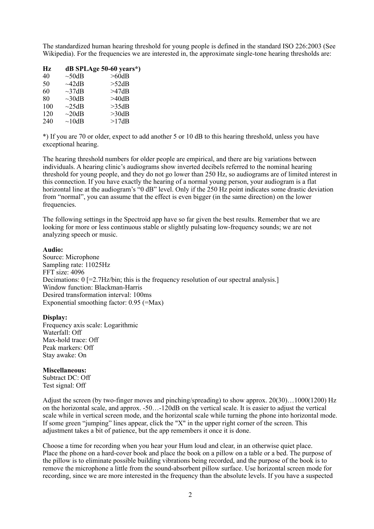The standardized human hearing threshold for young people is defined in the standard ISO 226:2003 (See Wikipedia). For the frequencies we are interested in, the approximate single-tone hearing thresholds are:

| Hz  | dB SPLAge 50-60 years*) |       |
|-----|-------------------------|-------|
| 40  | ~50dB                   | >60dB |
| 50  | $\sim$ 42dB             | >52dB |
| 60  | $\sim$ 37dB             | >47dB |
| 80  | $\sim 30dB$             | >40dB |
| 100 | $\sim$ 25dB             | >35dB |
| 120 | $\sim$ 20dB             | >30dB |
| 240 | $\sim 10dB$             | >17dB |

\*) If you are 70 or older, expect to add another 5 or 10 dB to this hearing threshold, unless you have exceptional hearing.

The hearing threshold numbers for older people are empirical, and there are big variations between individuals. A hearing clinic's audiograms show inverted decibels referred to the nominal hearing threshold for young people, and they do not go lower than 250 Hz, so audiograms are of limited interest in this connection. If you have exactly the hearing of a normal young person, your audiogram is a flat horizontal line at the audiogram's "0 dB" level. Only if the 250 Hz point indicates some drastic deviation from "normal", you can assume that the effect is even bigger (in the same direction) on the lower frequencies.

The following settings in the Spectroid app have so far given the best results. Remember that we are looking for more or less continuous stable or slightly pulsating low-frequency sounds; we are not analyzing speech or music.

#### **Audio:**

Source: Microphone Sampling rate: 11025Hz FFT size: 4096 Decimations:  $0 = 2.7\frac{\text{Hz}}{\text{bin}}$ ; this is the frequency resolution of our spectral analysis. Window function: Blackman-Harris Desired transformation interval: 100ms Exponential smoothing factor: 0.95 (=Max)

### **Display:**

Frequency axis scale: Logarithmic Waterfall: Off Max-hold trace: Off Peak markers: Off Stay awake: On

#### **Miscellaneous:**

Subtract DC: Off Test signal: Off

Adjust the screen (by two-finger moves and pinching/spreading) to show approx. 20(30)…1000(1200) Hz on the horizontal scale, and approx. -50…-120dB on the vertical scale. It is easier to adjust the vertical scale while in vertical screen mode, and the horizontal scale while turning the phone into horizontal mode. If some green "jumping" lines appear, click the "X" in the upper right corner of the screen. This adjustment takes a bit of patience, but the app remembers it once it is done.

Choose a time for recording when you hear your Hum loud and clear, in an otherwise quiet place. Place the phone on a hard-cover book and place the book on a pillow on a table or a bed. The purpose of the pillow is to eliminate possible building vibrations being recorded, and the purpose of the book is to remove the microphone a little from the sound-absorbent pillow surface. Use horizontal screen mode for recording, since we are more interested in the frequency than the absolute levels. If you have a suspected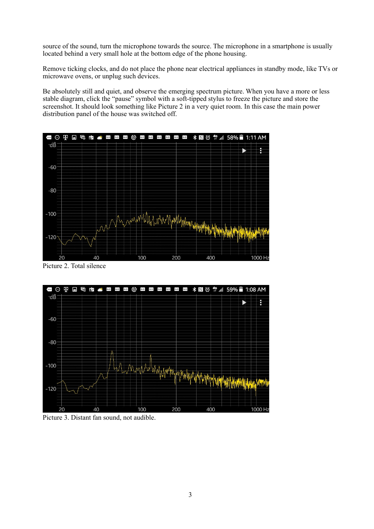source of the sound, turn the microphone towards the source. The microphone in a smartphone is usually located behind a very small hole at the bottom edge of the phone housing.

Remove ticking clocks, and do not place the phone near electrical appliances in standby mode, like TVs or microwave ovens, or unplug such devices.

Be absolutely still and quiet, and observe the emerging spectrum picture. When you have a more or less stable diagram, click the "pause" symbol with a soft-tipped stylus to freeze the picture and store the screenshot. It should look something like Picture 2 in a very quiet room. In this case the main power distribution panel of the house was switched off.



Picture 2. Total silence



Picture 3. Distant fan sound, not audible.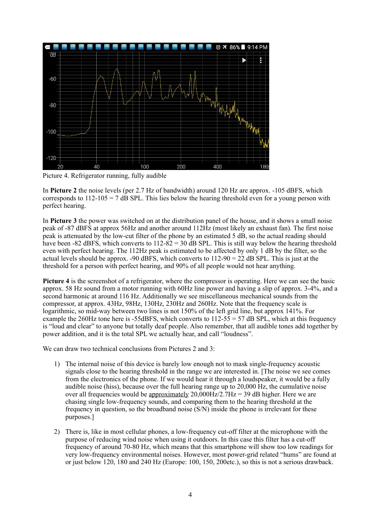

Picture 4. Refrigerator running, fully audible

In **Picture 2** the noise levels (per 2.7 Hz of bandwidth) around 120 Hz are approx. -105 dBFS, which corresponds to  $112-105 = 7$  dB SPL. This lies below the hearing threshold even for a young person with perfect hearing.

In **Picture 3** the power was switched on at the distribution panel of the house, and it shows a small noise peak of -87 dBFS at approx 56Hz and another around 112Hz (most likely an exhaust fan). The first noise peak is attenuated by the low-cut filter of the phone by an estimated 5 dB, so the actual reading should have been -82 dBFS, which converts to  $112-82 = 30$  dB SPL. This is still way below the hearing threshold even with perfect hearing. The 112Hz peak is estimated to be affected by only 1 dB by the filter, so the actual levels should be approx. -90 dBFS, which converts to  $112-90 = 22$  dB SPL. This is just at the threshold for a person with perfect hearing, and 90% of all people would not hear anything.

**Picture 4** is the screenshot of a refrigerator, where the compressor is operating. Here we can see the basic approx. 58 Hz sound from a motor running with 60Hz line power and having a slip of approx. 3-4%, and a second harmonic at around 116 Hz. Additionally we see miscellaneous mechanical sounds from the compressor, at approx. 43Hz, 98Hz, 130Hz, 230Hz and 260Hz. Note that the frequency scale is logarithmic, so mid-way between two lines is not 150% of the left grid line, but approx 141%. For example the 260Hz tone here is -55dBFS, which converts to  $112-55 = 57$  dB SPL, which at this frequency is "loud and clear" to anyone but totally deaf people. Also remember, that all audible tones add together by power addition, and it is the total SPL we actually hear, and call "loudness".

We can draw two technical conclusions from Pictures 2 and 3:

- 1) The internal noise of this device is barely low enough not to mask single-frequency acoustic signals close to the hearing threshold in the range we are interested in. [The noise we see comes from the electronics of the phone. If we would hear it through a loudspeaker, it would be a fully audible noise (hiss), because over the full hearing range up to 20,000 Hz, the cumulative noise over all frequencies would be approximately  $20,000\text{Hz}/2.7\text{Hz} = 39$  dB higher. Here we are chasing single low-frequency sounds, and comparing them to the hearing threshold at the frequency in question, so the broadband noise (S/N) inside the phone is irrelevant for these purposes.]
- 2) There is, like in most cellular phones, a low-frequency cut-off filter at the microphone with the purpose of reducing wind noise when using it outdoors. In this case this filter has a cut-off frequency of around 70-80 Hz, which means that this smartphone will show too low readings for very low-frequency environmental noises. However, most power-grid related "hums" are found at or just below 120, 180 and 240 Hz (Europe: 100, 150, 200etc.), so this is not a serious drawback.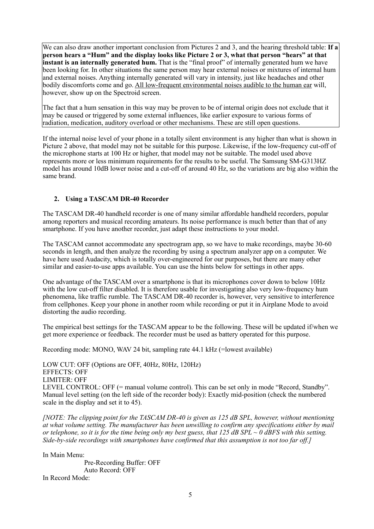We can also draw another important conclusion from Pictures 2 and 3, and the hearing threshold table: **If a person hears a "Hum" and the display looks like Picture 2 or 3, what that person "hears" at that instant is an internally generated hum.** That is the "final proof" of internally generated hum we have been looking for. In other situations the same person may hear external noises or mixtures of internal hum and external noises. Anything internally generated will vary in intensity, just like headaches and other bodily discomforts come and go. All low-frequent environmental noises audible to the human ear will, however, show up on the Spectroid screen.

The fact that a hum sensation in this way may be proven to be of internal origin does not exclude that it may be caused or triggered by some external influences, like earlier exposure to various forms of radiation, medication, auditory overload or other mechanisms. These are still open questions.

If the internal noise level of your phone in a totally silent environment is any higher than what is shown in Picture 2 above, that model may not be suitable for this purpose. Likewise, if the low-frequency cut-off of the microphone starts at 100 Hz or higher, that model may not be suitable. The model used above represents more or less minimum requirements for the results to be useful. The Samsung SM-G313HZ model has around 10dB lower noise and a cut-off of around 40 Hz, so the variations are big also within the same brand.

## **2. Using a TASCAM DR-40 Recorder**

The TASCAM DR-40 handheld recorder is one of many similar affordable handheld recorders, popular among reporters and musical recording amateurs. Its noise performance is much better than that of any smartphone. If you have another recorder, just adapt these instructions to your model.

The TASCAM cannot accommodate any spectrogram app, so we have to make recordings, maybe 30-60 seconds in length, and then analyze the recording by using a spectrum analyzer app on a computer. We have here used Audacity, which is totally over-engineered for our purposes, but there are many other similar and easier-to-use apps available. You can use the hints below for settings in other apps.

One advantage of the TASCAM over a smartphone is that its microphones cover down to below 10Hz with the low cut-off filter disabled. It is therefore usable for investigating also very low-frequency hum phenomena, like traffic rumble. The TASCAM DR-40 recorder is, however, very sensitive to interference from cellphones. Keep your phone in another room while recording or put it in Airplane Mode to avoid distorting the audio recording.

The empirical best settings for the TASCAM appear to be the following. These will be updated if/when we get more experience or feedback. The recorder must be used as battery operated for this purpose.

Recording mode: MONO, WAV 24 bit, sampling rate 44.1 kHz (=lowest available)

LOW CUT: OFF (Options are OFF, 40Hz, 80Hz, 120Hz) EFFECTS: OFF LIMITER: OFF LEVEL CONTROL: OFF (= manual volume control). This can be set only in mode "Record, Standby". Manual level setting (on the left side of the recorder body): Exactly mid-position (check the numbered scale in the display and set it to 45).

*[NOTE: The clipping point for the TASCAM DR-40 is given as 125 dB SPL, however, without mentioning at what volume setting. The manufacturer has been unwilling to confirm any specifications either by mail or telephone, so it is for the time being only my best guess, that 125 dB SPL ~ 0 dBFS with this setting. Side-by-side recordings with smartphones have confirmed that this assumption is not too far off.]*

In Main Menu:

 Pre-Recording Buffer: OFF Auto Record: OFF

In Record Mode: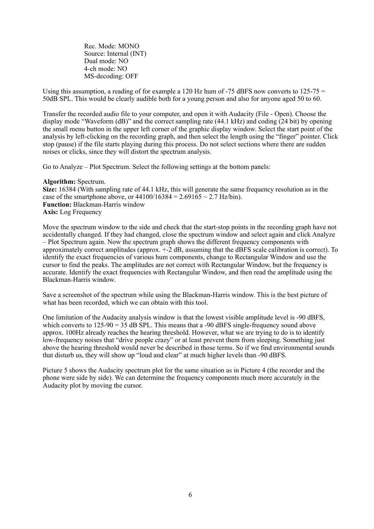Rec. Mode: MONO Source: Internal (INT) Dual mode: NO 4-ch mode: NO MS-decoding: OFF

Using this assumption, a reading of for example a 120 Hz hum of -75 dBFS now converts to  $125-75$  = 50dB SPL. This would be clearly audible both for a young person and also for anyone aged 50 to 60.

Transfer the recorded audio file to your computer, and open it with Audacity (File - Open). Choose the display mode "Waveform (dB)" and the correct sampling rate (44.1 kHz) and coding (24 bit) by opening the small menu button in the upper left corner of the graphic display window. Select the start point of the analysis by left-clicking on the recording graph, and then select the length using the "finger" pointer. Click stop (pause) if the file starts playing during this process. Do not select sections where there are sudden noises or clicks, since they will distort the spectrum analysis.

Go to Analyze – Plot Spectrum. Select the following settings at the bottom panels:

**Algorithm:** Spectrum. **Size:** 16384 (With sampling rate of 44.1 kHz, this will generate the same frequency resolution as in the case of the smartphone above, or  $44100/16384 = 2.69165 \sim 2.7$  Hz/bin). **Function:** Blackman-Harris window **Axis:** Log Frequency

Move the spectrum window to the side and check that the start-stop points in the recording graph have not accidentally changed. If they had changed, close the spectrum window and select again and click Analyze – Plot Spectrum again. Now the spectrum graph shows the different frequency components with approximately correct amplitudes (approx. +-2 dB, assuming that the dBFS scale calibration is correct). To identify the exact frequencies of various hum components, change to Rectangular Window and use the cursor to find the peaks. The amplitudes are not correct with Rectangular Window, but the frequency is accurate. Identify the exact frequencies with Rectangular Window, and then read the amplitude using the Blackman-Harris window.

Save a screenshot of the spectrum while using the Blackman-Harris window. This is the best picture of what has been recorded, which we can obtain with this tool.

One limitation of the Audacity analysis window is that the lowest visible amplitude level is -90 dBFS, which converts to 125-90 = 35 dB SPL. This means that a -90 dBFS single-frequency sound above approx. 100Hz already reaches the hearing threshold. However, what we are trying to do is to identify low-frequency noises that "drive people crazy" or at least prevent them from sleeping. Something just above the hearing threshold would never be described in those terms. So if we find environmental sounds that disturb us, they will show up "loud and clear" at much higher levels than -90 dBFS.

Picture 5 shows the Audacity spectrum plot for the same situation as in Picture 4 (the recorder and the phone were side by side). We can determine the frequency components much more accurately in the Audacity plot by moving the cursor.